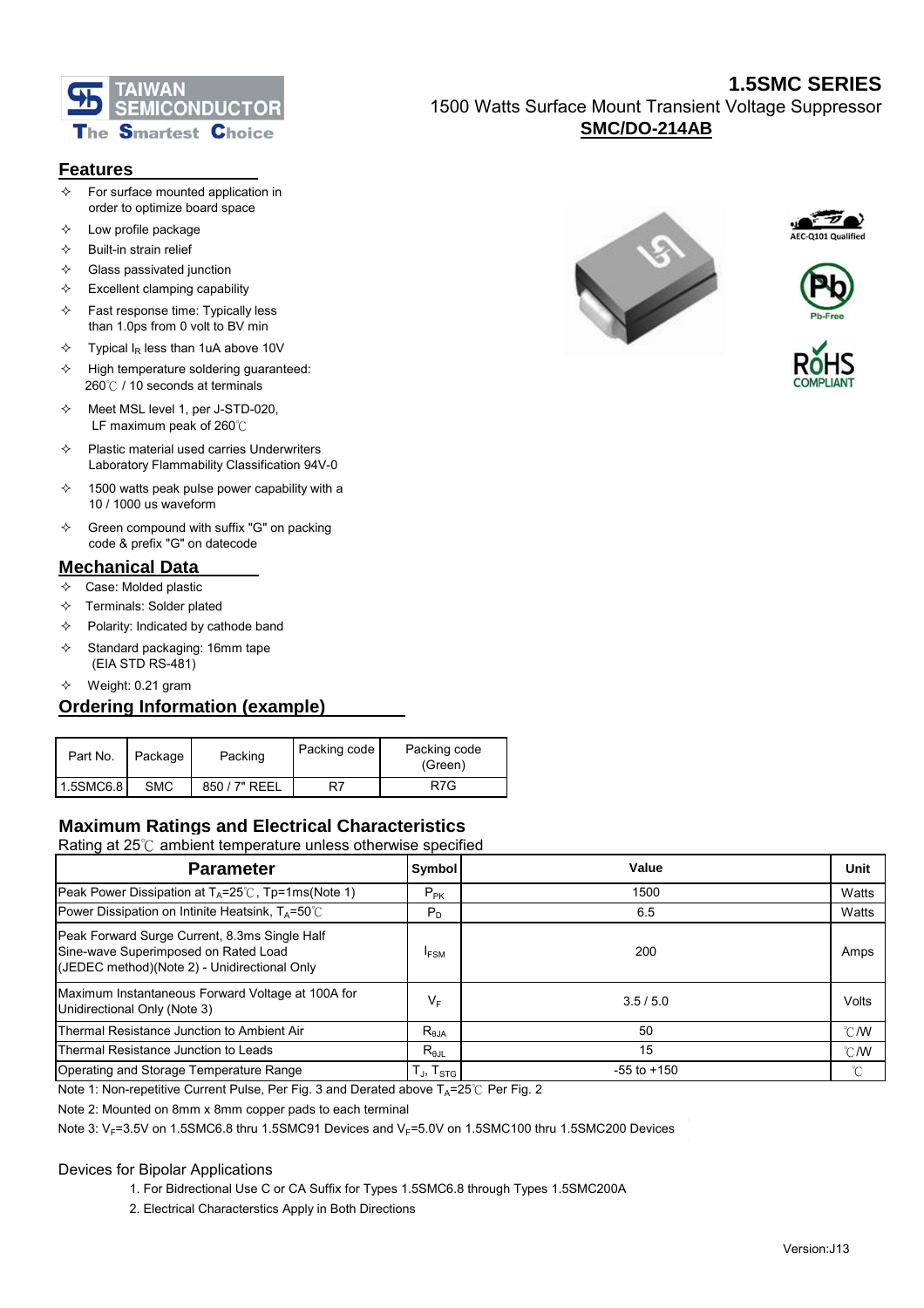

### **Features**

- $\Diamond$  For surface mounted application in order to optimize board space
- $\Diamond$  Low profile package
- $\Leftrightarrow$  Built-in strain relief
- $\Leftrightarrow$  Glass passivated junction
- $\div$  Excellent clamping capability
- $\div$  Fast response time: Typically less than 1.0ps from 0 volt to BV min
- $\div$  Typical I<sub>R</sub> less than 1uA above 10V
- $\div$  High temperature soldering guaranteed: 260℃ / 10 seconds at terminals
- $\lozenge$  Meet MSL level 1, per J-STD-020, LF maximum peak of 260℃
- $\Diamond$  Plastic material used carries Underwriters Laboratory Flammability Classification 94V-0
- $\div$  1500 watts peak pulse power capability with a 10 / 1000 us waveform
- $\div$  Green compound with suffix "G" on packing code & prefix "G" on datecode

### **Mechanical Data**

- $\Leftrightarrow$  Case: Molded plastic
- $\Diamond$  Terminals: Solder plated
- $\Diamond$  Polarity: Indicated by cathode band
- $\diamond$  Standard packaging: 16mm tape (EIA STD RS-481)
- $\diamond$  Weight: 0.21 gram

## **Ordering Information (example)**

| Part No.  | Package    | Packing       | Packing code | Packing code<br>(Green) |
|-----------|------------|---------------|--------------|-------------------------|
| 1.5SMC6.8 | <b>SMC</b> | 850 / 7" REEL |              | R7G                     |

# **Maximum Ratings and Electrical Characteristics**

Rating at 25℃ ambient temperature unless otherwise specified

| <b>Parameter</b>                                                                                                                      | <b>Symbol</b>                 | Value           | Unit          |
|---------------------------------------------------------------------------------------------------------------------------------------|-------------------------------|-----------------|---------------|
| Peak Power Dissipation at $T_A = 25^\circ\text{C}$ , Tp=1ms(Note 1)                                                                   | $P_{PK}$                      | 1500            | Watts         |
| Power Dissipation on Intinite Heatsink, $T_A = 50^{\circ}$ C                                                                          | $P_D$                         | 6.5             | Watts         |
| Peak Forward Surge Current, 8.3ms Single Half<br>Sine-wave Superimposed on Rated Load<br>(JEDEC method)(Note 2) - Unidirectional Only | <b>IFSM</b>                   | 200             | Amps          |
| Maximum Instantaneous Forward Voltage at 100A for<br>Unidirectional Only (Note 3)                                                     | $\mathsf{V}_\mathsf{F}$       | 3.5/5.0         | Volts         |
| Thermal Resistance Junction to Ambient Air                                                                                            | $R_{\theta$ JA                | 50              | $\degree$ C/W |
| Thermal Resistance Junction to Leads                                                                                                  | $R_{\theta JL}$               | 15              | $\degree$ C/W |
| Operating and Storage Temperature Range                                                                                               | T $_{\sf J}$ , T $_{\sf STG}$ | $-55$ to $+150$ | $^{\circ}C$   |
|                                                                                                                                       |                               |                 |               |

Note 1: Non-repetitive Current Pulse, Per Fig. 3 and Derated above  $T_A=25^\circ\text{C}$  Per Fig. 2

Note 2: Mounted on 8mm x 8mm copper pads to each terminal

Note 3:  $V_F$ =3.5V on 1.5SMC6.8 thru 1.5SMC91 Devices and  $V_F$ =5.0V on 1.5SMC100 thru 1.5SMC200 Devices

#### Devices for Bipolar Applications

- 1. For Bidrectional Use C or CA Suffix for Types 1.5SMC6.8 through Types 1.5SMC200A
- 2. Electrical Characterstics Apply in Both Directions

## **1.5SMC SERIES** 1500 Watts Surface Mount Transient Voltage Suppressor **SMC/DO-214AB**







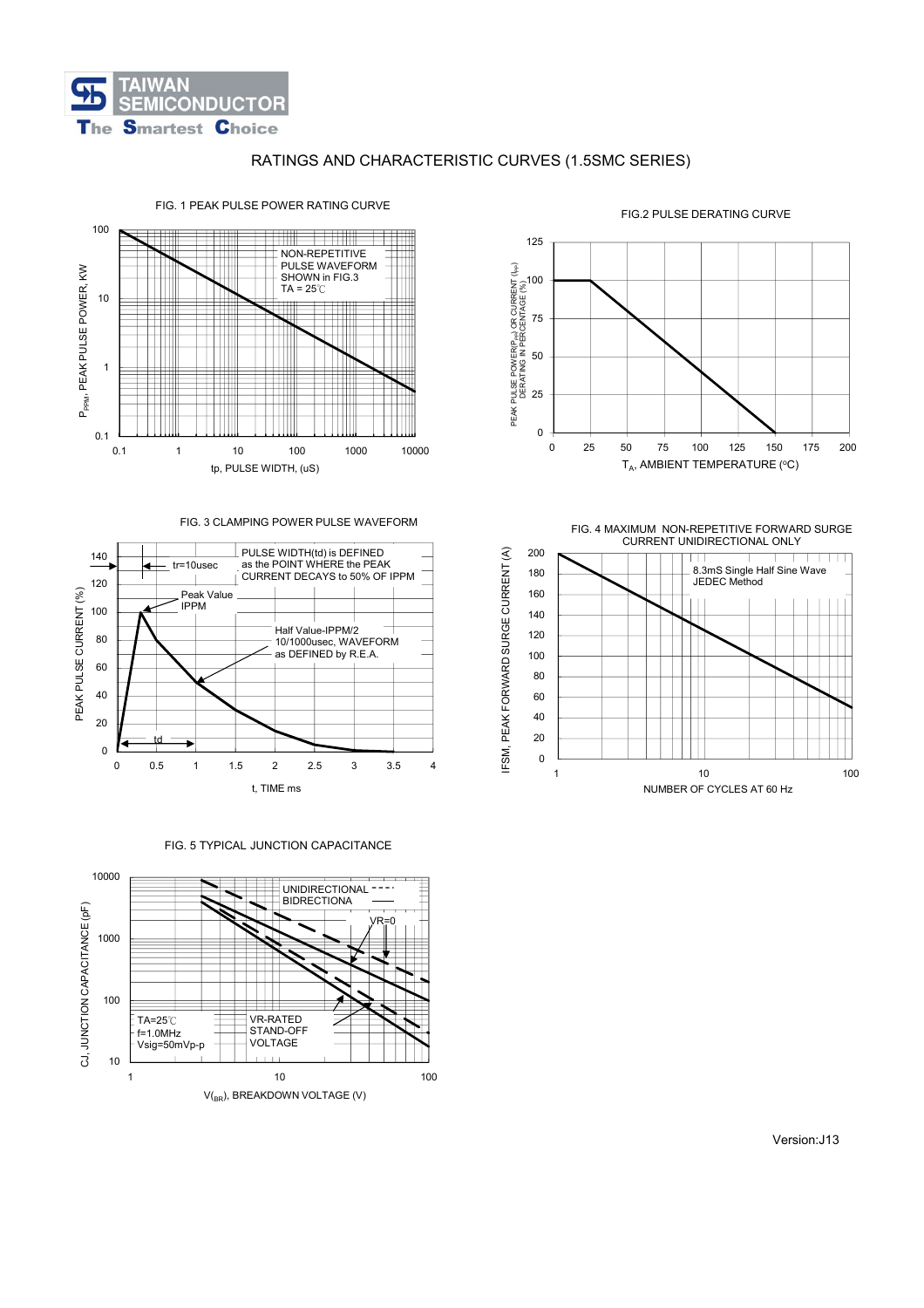

### RATINGS AND CHARACTERISTIC CURVES (1.5SMC SERIES)



#### FIG. 1 PEAK PULSE POWER RATING CURVE





FIG. 5 TYPICAL JUNCTION CAPACITANCE





FIG. 4 MAXIMUM NON-REPETITIVE FORWARD SURGE CURRENT UNIDIRECTIONAL ONLY



FIG.2 PULSE DERATING CURVE

Version:J13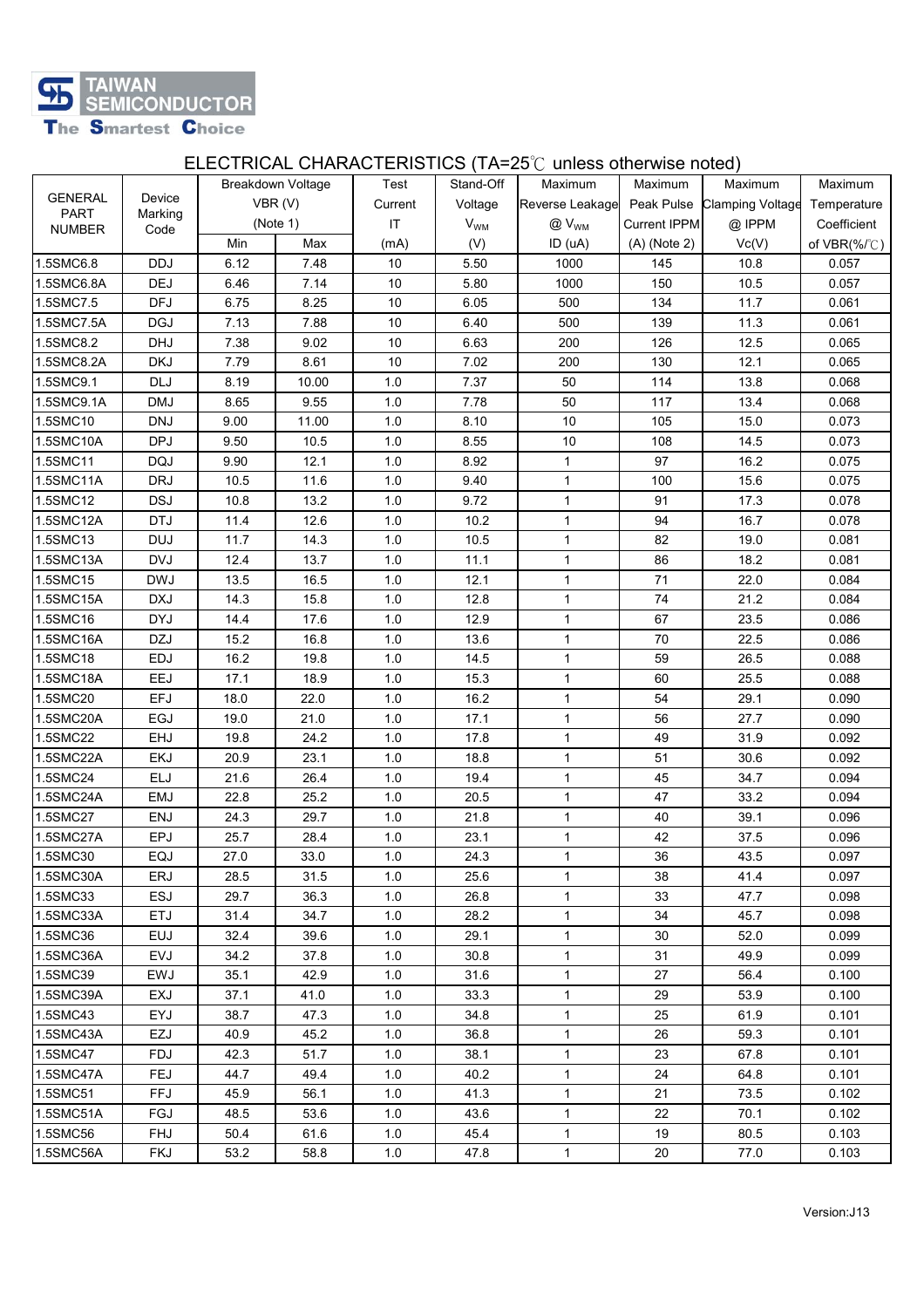

# ELECTRICAL CHARACTERISTICS (TA=25℃ unless otherwise noted)

|                |            |      |                          |         |           | <b>LLLOT</b> NOTE OF IT IF YOT LINOT TOO TITLED QUINOS OINCI WISC HOLOGY |                   |                             |                            |
|----------------|------------|------|--------------------------|---------|-----------|--------------------------------------------------------------------------|-------------------|-----------------------------|----------------------------|
| <b>GENERAL</b> | Device     |      | <b>Breakdown Voltage</b> | Test    | Stand-Off | Maximum                                                                  | Maximum           | Maximum                     | Maximum                    |
| <b>PART</b>    | Marking    |      | VBR(V)                   | Current | Voltage   | Reverse Leakage                                                          |                   | Peak Pulse Clamping Voltage | Temperature                |
| <b>NUMBER</b>  | Code       |      | (Note 1)                 | IT      | $V_{WM}$  | $@V_{WM}$                                                                | Current IPPM      | @ IPPM                      | Coefficient                |
|                |            | Min  | Max                      | (mA)    | (V)       | ID (uA)                                                                  | $(A)$ (Note 2)    | Vc(V)                       | of $VBR(\% / \mathcal{C})$ |
| 1.5SMC6.8      | <b>DDJ</b> | 6.12 | 7.48                     | 10      | 5.50      | 1000                                                                     | 145               | 10.8                        | 0.057                      |
| 1.5SMC6.8A     | DEJ        | 6.46 | 7.14                     | 10      | 5.80      | 1000                                                                     | 150               | 10.5                        | 0.057                      |
| 1.5SMC7.5      | <b>DFJ</b> | 6.75 | 8.25                     | $10$    | 6.05      | 500                                                                      | 134               | 11.7                        | 0.061                      |
| 1.5SMC7.5A     | <b>DGJ</b> | 7.13 | 7.88                     | 10      | 6.40      | 500                                                                      | 139               | 11.3                        | 0.061                      |
| 1.5SMC8.2      | <b>DHJ</b> | 7.38 | 9.02                     | 10      | 6.63      | 200                                                                      | 126               | 12.5                        | 0.065                      |
| 1.5SMC8.2A     | <b>DKJ</b> | 7.79 | 8.61                     | 10      | 7.02      | 200                                                                      | 130               | 12.1                        | 0.065                      |
| 1.5SMC9.1      | <b>DLJ</b> | 8.19 | 10.00                    | 1.0     | 7.37      | 50                                                                       | 114               | 13.8                        | 0.068                      |
| 1.5SMC9.1A     | <b>DMJ</b> | 8.65 | 9.55                     | 1.0     | 7.78      | 50                                                                       | 117               | 13.4                        | 0.068                      |
| 1.5SMC10       | <b>DNJ</b> | 9.00 | 11.00                    | 1.0     | 8.10      | 10                                                                       | 105               | 15.0                        | 0.073                      |
| 1.5SMC10A      | <b>DPJ</b> | 9.50 | 10.5                     | 1.0     | 8.55      | 10                                                                       | 108               | 14.5                        | 0.073                      |
| 1.5SMC11       | <b>DQJ</b> | 9.90 | 12.1                     | 1.0     | 8.92      | $\mathbf{1}$                                                             | 97                | 16.2                        | 0.075                      |
| 1.5SMC11A      | <b>DRJ</b> | 10.5 | 11.6                     | 1.0     | 9.40      | 1                                                                        | 100               | 15.6                        | 0.075                      |
| 1.5SMC12       | <b>DSJ</b> | 10.8 | 13.2                     | 1.0     | 9.72      | $\mathbf{1}$                                                             | 91                | 17.3                        | 0.078                      |
| 1.5SMC12A      | <b>DTJ</b> | 11.4 | 12.6                     | 1.0     | 10.2      | $\mathbf{1}$                                                             | 94                | 16.7                        | 0.078                      |
| 1.5SMC13       | <b>DUJ</b> | 11.7 | 14.3                     | 1.0     | 10.5      | $\mathbf{1}$                                                             | 82                | 19.0                        | 0.081                      |
| 1.5SMC13A      | <b>DVJ</b> | 12.4 | 13.7                     | 1.0     | 11.1      | $\mathbf{1}$                                                             | 86                | 18.2                        | 0.081                      |
| 1.5SMC15       | <b>DWJ</b> | 13.5 | 16.5                     | 1.0     | 12.1      | 1                                                                        | 71                | 22.0                        | 0.084                      |
| 1.5SMC15A      | <b>DXJ</b> | 14.3 | 15.8                     | 1.0     | 12.8      | $\mathbf{1}$                                                             | 74                | 21.2                        | 0.084                      |
| 1.5SMC16       | <b>DYJ</b> | 14.4 | 17.6                     | 1.0     | 12.9      | $\mathbf{1}$                                                             | 67                | 23.5                        | 0.086                      |
| 1.5SMC16A      | <b>DZJ</b> | 15.2 | 16.8                     | 1.0     | 13.6      | $\mathbf{1}$                                                             | 70                | 22.5                        | 0.086                      |
| 1.5SMC18       | EDJ        | 16.2 | 19.8                     | 1.0     | 14.5      | $\mathbf{1}$                                                             | 59                | 26.5                        | 0.088                      |
| 1.5SMC18A      | EEJ        | 17.1 | 18.9                     | 1.0     | 15.3      | 1                                                                        | 60                | 25.5                        | 0.088                      |
| 1.5SMC20       | <b>EFJ</b> | 18.0 | 22.0                     | $1.0$   | 16.2      | $\mathbf{1}$                                                             | 54                | 29.1                        | 0.090                      |
| 1.5SMC20A      | EGJ        | 19.0 | 21.0                     | $1.0$   | 17.1      | $\mathbf{1}$                                                             | 56                | 27.7                        | 0.090                      |
| 1.5SMC22       | EHJ        | 19.8 | 24.2                     | 1.0     | 17.8      | 1                                                                        | 49.               | 31.9                        | 0.092                      |
| 1.5SMC22A      | <b>EKJ</b> | 20.9 | 23.1                     | 1.0     | 18.8      | $\mathbf{1}$                                                             | 51                | 30.6                        | 0.092                      |
| 1.5SMC24       | ELJ        | 21.6 | 26.4                     | 1.0     | 19.4      | 1                                                                        | 45                | 34.7                        | 0.094                      |
| 1.5SMC24A      | EMJ        | 22.8 | 25.2                     | 1.0     | 20.5      | $\mathbf{1}$                                                             | 47                | 33.2                        | 0.094                      |
| 1.5SMC27       | <b>ENJ</b> | 24.3 | 29.7                     | 1.0     | 21.8      | $\mathbf{1}$                                                             | 40                | 39.1                        | 0.096                      |
| 1.5SMC27A      | <b>EPJ</b> | 25.7 | 28.4                     | 1.0     | 23.1      | $\mathbf{1}$                                                             | 42                | 37.5                        | 0.096                      |
| 1.5SMC30       | EQJ        | 27.0 | 33.0                     | 1.0     | 24.3      | $\mathbf{1}$                                                             | 36                | 43.5                        | 0.097                      |
| 1.5SMC30A      | ERJ        | 28.5 | 31.5                     | 1.0     | 25.6      | $\mathbf{1}$                                                             | 38                | 41.4                        | 0.097                      |
| 1.5SMC33       | <b>ESJ</b> | 29.7 | 36.3                     | 1.0     | 26.8      | $\mathbf{1}$                                                             | 33                | 47.7                        | 0.098                      |
| 1.5SMC33A      | <b>ETJ</b> | 31.4 | 34.7                     | 1.0     | 28.2      | $\mathbf{1}$                                                             | 34                | 45.7                        | 0.098                      |
| 1.5SMC36       | <b>EUJ</b> | 32.4 | 39.6                     | 1.0     | 29.1      | $\mathbf{1}$                                                             | 30                | 52.0                        | 0.099                      |
| 1.5SMC36A      | <b>EVJ</b> | 34.2 | 37.8                     | 1.0     | 30.8      | $\mathbf{1}$                                                             | 31                | 49.9                        | 0.099                      |
| 1.5SMC39       | EWJ        | 35.1 | 42.9                     | 1.0     | 31.6      | $\mathbf{1}$                                                             | 27                | 56.4                        | 0.100                      |
| 1.5SMC39A      | EXJ        | 37.1 | 41.0                     | 1.0     | 33.3      | $\mathbf{1}$                                                             | 29                | 53.9                        | 0.100                      |
| 1.5SMC43       | EYJ        | 38.7 | 47.3                     | 1.0     | 34.8      | $\mathbf{1}$                                                             | 25                | 61.9                        | 0.101                      |
| 1.5SMC43A      | <b>EZJ</b> | 40.9 | 45.2                     | 1.0     | 36.8      | $\mathbf{1}$                                                             | 26                | 59.3                        | 0.101                      |
| 1.5SMC47       | FDJ        | 42.3 | 51.7                     | 1.0     | 38.1      | $\mathbf{1}$                                                             | 23                | 67.8                        | 0.101                      |
| 1.5SMC47A      | FEJ        | 44.7 | 49.4                     | 1.0     | 40.2      | $\mathbf 1$                                                              | 24                | 64.8                        | 0.101                      |
| 1.5SMC51       | FFJ        | 45.9 | 56.1                     | 1.0     | 41.3      | $\mathbf{1}$                                                             | 21                | 73.5                        | 0.102                      |
| 1.5SMC51A      | FGJ        | 48.5 | 53.6                     | 1.0     | 43.6      | $\mathbf{1}$                                                             | $22 \overline{ }$ | 70.1                        | 0.102                      |
| 1.5SMC56       | <b>FHJ</b> | 50.4 | 61.6                     | 1.0     | 45.4      | $\mathbf{1}$                                                             | 19                | 80.5                        | 0.103                      |
| 1.5SMC56A      | <b>FKJ</b> | 53.2 | 58.8                     | 1.0     | 47.8      | $\mathbf{1}$                                                             | 20                | 77.0                        | 0.103                      |
|                |            |      |                          |         |           |                                                                          |                   |                             |                            |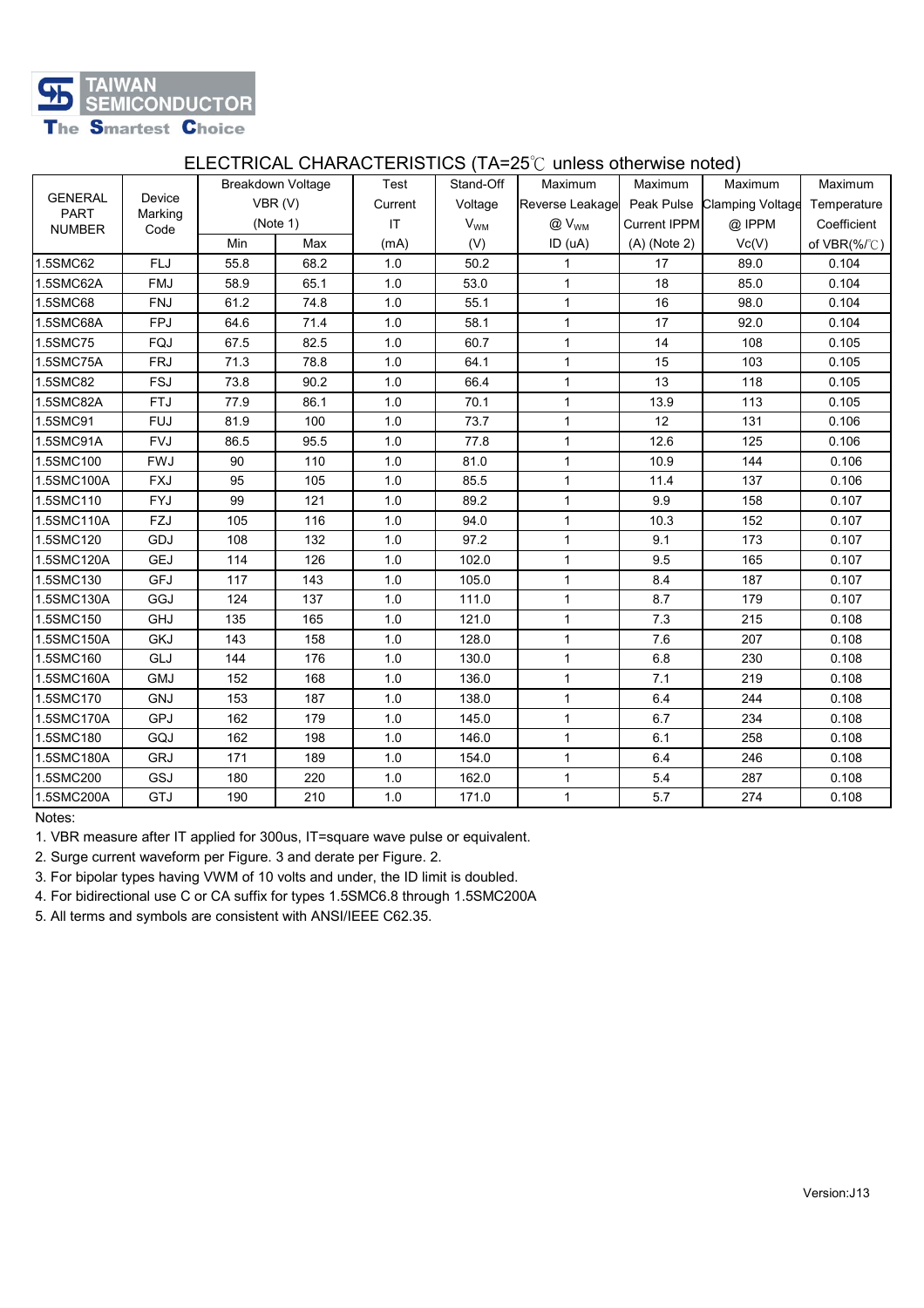

### ELECTRICAL CHARACTERISTICS (TA=25℃ unless otherwise noted)

|                        |            |      |                   |                        |                 | <b>LLLOT NOTE OF INVISITION FROM THE LO</b> C GRICOS OFICI MOC HOLOGY |                             |             |                  |
|------------------------|------------|------|-------------------|------------------------|-----------------|-----------------------------------------------------------------------|-----------------------------|-------------|------------------|
| <b>GENERAL</b>         | Device     |      | Breakdown Voltage | Test                   | Stand-Off       | Maximum                                                               | Maximum                     | Maximum     | Maximum          |
| <b>PART</b><br>Marking | VBR(V)     |      | Current           | Voltage                | Reverse Leakage |                                                                       | Peak Pulse Clamping Voltage | Temperature |                  |
| <b>NUMBER</b>          | Code       |      | (Note 1)          | $\mathsf{I}\mathsf{T}$ | $V_{WM}$        | $@V_{WM}$                                                             | Current IPPM                | @ IPPM      | Coefficient      |
|                        |            | Min  | Max               | (mA)                   | (V)             | ID (uA)                                                               | $(A)$ (Note 2)              | Vc(V)       | of $VBR(\%$ /°C) |
| 1.5SMC62               | <b>FLJ</b> | 55.8 | 68.2              | 1.0                    | 50.2            | $\mathbf{1}$                                                          | 17                          | 89.0        | 0.104            |
| 1.5SMC62A              | <b>FMJ</b> | 58.9 | 65.1              | 1.0                    | 53.0            | $\mathbf{1}$                                                          | 18                          | 85.0        | 0.104            |
| 1.5SMC68               | <b>FNJ</b> | 61.2 | 74.8              | 1.0                    | 55.1            | 1                                                                     | 16                          | 98.0        | 0.104            |
| 1.5SMC68A              | <b>FPJ</b> | 64.6 | 71.4              | $1.0$                  | 58.1            | $\mathbf{1}$                                                          | 17                          | 92.0        | 0.104            |
| 1.5SMC75               | FQJ        | 67.5 | 82.5              | 1.0                    | 60.7            | $\mathbf{1}$                                                          | 14                          | 108         | 0.105            |
| 1.5SMC75A              | <b>FRJ</b> | 71.3 | 78.8              | 1.0                    | 64.1            | $\mathbf{1}$                                                          | 15                          | 103         | 0.105            |
| 1.5SMC82               | <b>FSJ</b> | 73.8 | 90.2              | $1.0$                  | 66.4            | $\mathbf{1}$                                                          | 13                          | 118         | 0.105            |
| 1.5SMC82A              | <b>FTJ</b> | 77.9 | 86.1              | 1.0                    | 70.1            | $\mathbf{1}$                                                          | 13.9                        | 113         | 0.105            |
| 1.5SMC91               | <b>FUJ</b> | 81.9 | 100               | 1.0                    | 73.7            | $\mathbf{1}$                                                          | 12                          | 131         | 0.106            |
| 1.5SMC91A              | <b>FVJ</b> | 86.5 | 95.5              | 1.0                    | 77.8            | $\mathbf 1$                                                           | 12.6                        | 125         | 0.106            |
| 1.5SMC100              | <b>FWJ</b> | 90   | 110               | 1.0                    | 81.0            | $\mathbf{1}$                                                          | 10.9                        | 144         | 0.106            |
| 1.5SMC100A             | <b>FXJ</b> | 95   | 105               | 1.0                    | 85.5            | $\mathbf{1}$                                                          | 11.4                        | 137         | 0.106            |
| 1.5SMC110              | <b>FYJ</b> | 99   | 121               | 1.0                    | 89.2            | $\mathbf{1}$                                                          | 9.9                         | 158         | 0.107            |
| 1.5SMC110A             | FZJ        | 105  | 116               | $1.0$                  | 94.0            | $\mathbf{1}$                                                          | 10.3                        | 152         | 0.107            |
| 1.5SMC120              | GDJ        | 108  | 132               | 1.0                    | 97.2            | $\mathbf{1}$                                                          | 9.1                         | 173         | 0.107            |
| 1.5SMC120A             | <b>GEJ</b> | 114  | 126               | 1.0                    | 102.0           | $\mathbf{1}$                                                          | 9.5                         | 165         | 0.107            |
| 1.5SMC130              | <b>GFJ</b> | 117  | 143               | 1.0                    | 105.0           | $\mathbf 1$                                                           | 8.4                         | 187         | 0.107            |
| 1.5SMC130A             | GGJ        | 124  | 137               | 1.0                    | 111.0           | $\mathbf{1}$                                                          | 8.7                         | 179         | 0.107            |
| 1.5SMC150              | <b>GHJ</b> | 135  | 165               | 1.0                    | 121.0           | $\mathbf{1}$                                                          | 7.3                         | 215         | 0.108            |
| 1.5SMC150A             | <b>GKJ</b> | 143  | 158               | $1.0$                  | 128.0           | $\mathbf{1}$                                                          | 7.6                         | 207         | 0.108            |
| 1.5SMC160              | GLJ        | 144  | 176               | 1.0                    | 130.0           | $\mathbf{1}$                                                          | 6.8                         | 230         | 0.108            |
| 1.5SMC160A             | <b>GMJ</b> | 152  | 168               | 1.0                    | 136.0           | $\mathbf{1}$                                                          | 7.1                         | 219         | 0.108            |
| 1.5SMC170              | GNJ        | 153  | 187               | 1.0                    | 138.0           | $\mathbf{1}$                                                          | 6.4                         | 244         | 0.108            |
| 1.5SMC170A             | GPJ        | 162  | 179               | $1.0$                  | 145.0           | $\mathbf{1}$                                                          | 6.7                         | 234         | 0.108            |
| 1.5SMC180              | GQJ        | 162  | 198               | 1.0                    | 146.0           | $\mathbf{1}$                                                          | 6.1                         | 258         | 0.108            |
| 1.5SMC180A             | <b>GRJ</b> | 171  | 189               | $1.0$                  | 154.0           | $\mathbf{1}$                                                          | 6.4                         | 246         | 0.108            |
| 1.5SMC200              | GSJ        | 180  | 220               | $1.0$                  | 162.0           | $\mathbf{1}$                                                          | 5.4                         | 287         | 0.108            |
| 1.5SMC200A             | GTJ        | 190  | 210               | 1.0                    | 171.0           | $\mathbf 1$                                                           | 5.7                         | 274         | 0.108            |
|                        |            |      |                   |                        |                 |                                                                       |                             |             |                  |

Notes:

1. VBR measure after IT applied for 300us, IT=square wave pulse or equivalent.

2. Surge current waveform per Figure. 3 and derate per Figure. 2.

3. For bipolar types having VWM of 10 volts and under, the ID limit is doubled.

4. For bidirectional use C or CA suffix for types 1.5SMC6.8 through 1.5SMC200A

5. All terms and symbols are consistent with ANSI/IEEE C62.35.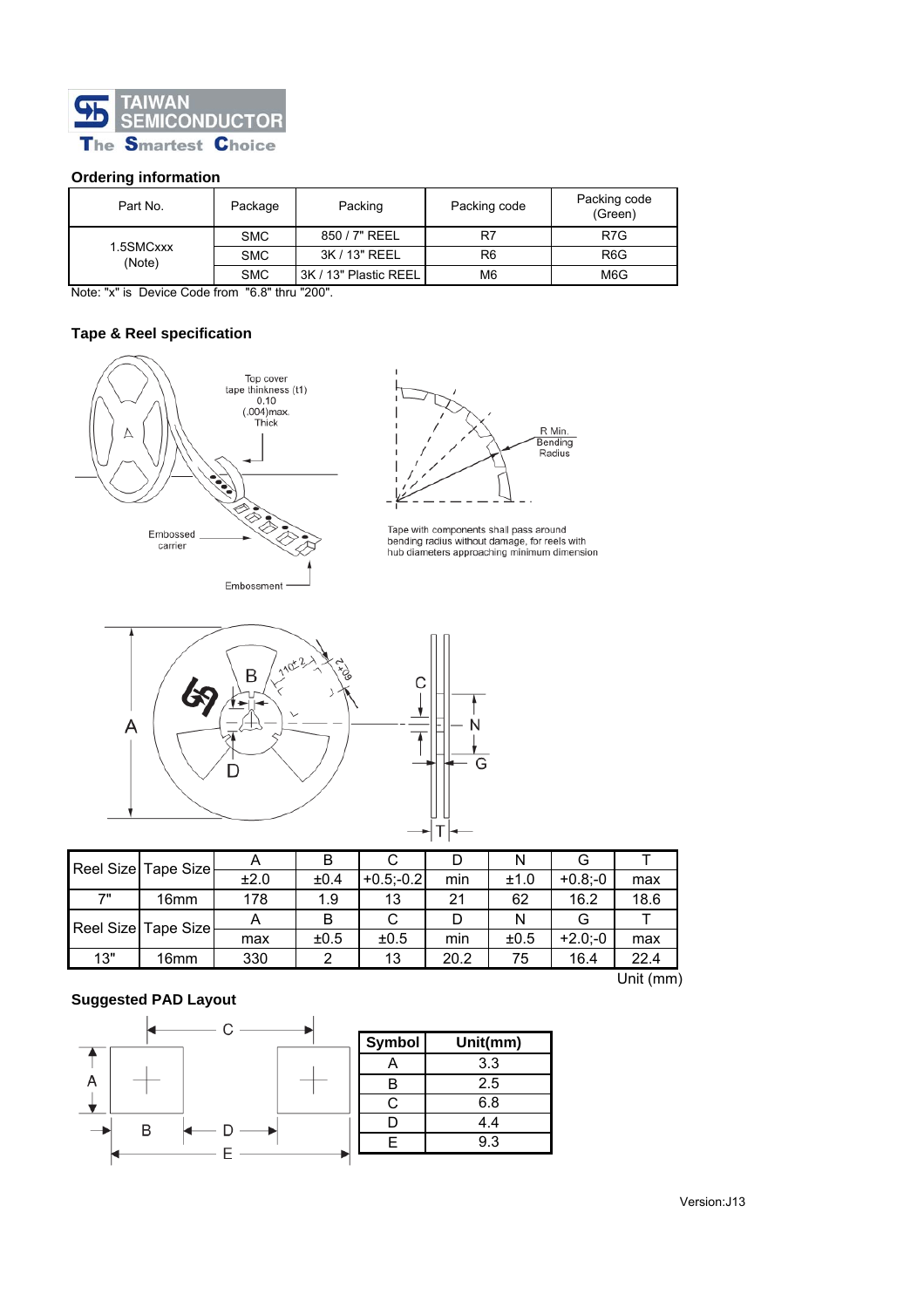

### **Ordering information**

| Part No.            | Package    | Packing code<br>Packing |    | Packing code<br>(Green) |
|---------------------|------------|-------------------------|----|-------------------------|
| 1.5SMCxxx<br>(Note) | <b>SMC</b> | 850 / 7" REEL           | R7 | R <sub>7</sub> G        |
|                     | <b>SMC</b> | 3K / 13" REEL           | R6 | R <sub>6</sub> G        |
|                     | <b>SMC</b> | 3K / 13" Plastic REEL   | M6 | M6G                     |

Note: "x" is Device Code from "6.8" thru "200".

### **Tape & Reel specification**



Embossment



Tape with components shall pass around<br>bending radius without damage, for reels with<br>hub diameters approaching minimum dimension





| Reel Size Tape Size |                     |      |      |              |      | Ν    |            |      |
|---------------------|---------------------|------|------|--------------|------|------|------------|------|
|                     |                     | ±2.0 | ±0.4 | $+0.5 - 0.2$ | min  | ±1.0 | $+0.8; -0$ | max  |
| 7"                  | 16 <sub>mm</sub>    | 178  | 1.9  | 13           | 21   | 62   | 16.2       | 18.6 |
|                     | Reel Size Tape Size |      |      |              |      | N    |            |      |
|                     |                     | max  | ±0.5 | ±0.5         | min  | ±0.5 | $+2.0: -0$ | max  |
| 13"                 | 16 <sub>mm</sub>    | 330  | ົ    | 13           | 20.2 | 75   | 16.4       | 22.4 |

### **Suggested PAD Layout**



Unit (mm)